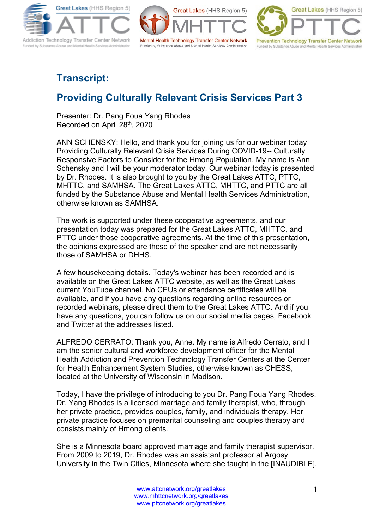

Great Lakes (HHS Region 5) Mental Health Technology Transfer Center Network Funded by Substance Abuse and Mental Health Services Administration



## **Transcript:**

## **Providing Culturally Relevant Crisis Services Part 3**

Presenter: Dr. Pang Foua Yang Rhodes Recorded on April 28th, 2020

ANN SCHENSKY: Hello, and thank you for joining us for our webinar today Providing Culturally Relevant Crisis Services During COVID-19-- Culturally Responsive Factors to Consider for the Hmong Population. My name is Ann Schensky and I will be your moderator today. Our webinar today is presented by Dr. Rhodes. It is also brought to you by the Great Lakes ATTC, PTTC, MHTTC, and SAMHSA. The Great Lakes ATTC, MHTTC, and PTTC are all funded by the Substance Abuse and Mental Health Services Administration, otherwise known as SAMHSA.

The work is supported under these cooperative agreements, and our presentation today was prepared for the Great Lakes ATTC, MHTTC, and PTTC under those cooperative agreements. At the time of this presentation, the opinions expressed are those of the speaker and are not necessarily those of SAMHSA or DHHS.

A few housekeeping details. Today's webinar has been recorded and is available on the Great Lakes ATTC website, as well as the Great Lakes current YouTube channel. No CEUs or attendance certificates will be available, and if you have any questions regarding online resources or recorded webinars, please direct them to the Great Lakes ATTC. And if you have any questions, you can follow us on our social media pages, Facebook and Twitter at the addresses listed.

ALFREDO CERRATO: Thank you, Anne. My name is Alfredo Cerrato, and I am the senior cultural and workforce development officer for the Mental Health Addiction and Prevention Technology Transfer Centers at the Center for Health Enhancement System Studies, otherwise known as CHESS, located at the University of Wisconsin in Madison.

Today, I have the privilege of introducing to you Dr. Pang Foua Yang Rhodes. Dr. Yang Rhodes is a licensed marriage and family therapist, who, through her private practice, provides couples, family, and individuals therapy. Her private practice focuses on premarital counseling and couples therapy and consists mainly of Hmong clients.

She is a Minnesota board approved marriage and family therapist supervisor. From 2009 to 2019, Dr. Rhodes was an assistant professor at Argosy University in the Twin Cities, Minnesota where she taught in the [INAUDIBLE].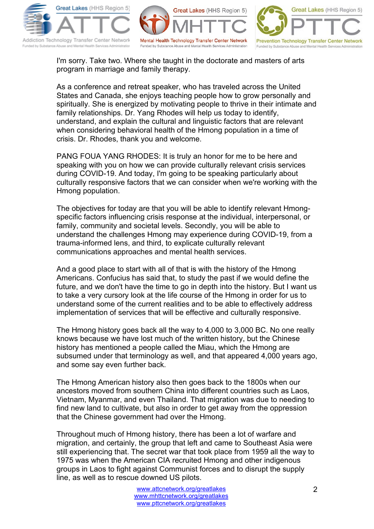





I'm sorry. Take two. Where she taught in the doctorate and masters of arts program in marriage and family therapy.

As a conference and retreat speaker, who has traveled across the United States and Canada, she enjoys teaching people how to grow personally and spiritually. She is energized by motivating people to thrive in their intimate and family relationships. Dr. Yang Rhodes will help us today to identify, understand, and explain the cultural and linguistic factors that are relevant when considering behavioral health of the Hmong population in a time of crisis. Dr. Rhodes, thank you and welcome.

PANG FOUA YANG RHODES: It is truly an honor for me to be here and speaking with you on how we can provide culturally relevant crisis services during COVID-19. And today, I'm going to be speaking particularly about culturally responsive factors that we can consider when we're working with the Hmong population.

The objectives for today are that you will be able to identify relevant Hmongspecific factors influencing crisis response at the individual, interpersonal, or family, community and societal levels. Secondly, you will be able to understand the challenges Hmong may experience during COVID-19, from a trauma-informed lens, and third, to explicate culturally relevant communications approaches and mental health services.

And a good place to start with all of that is with the history of the Hmong Americans. Confucius has said that, to study the past if we would define the future, and we don't have the time to go in depth into the history. But I want us to take a very cursory look at the life course of the Hmong in order for us to understand some of the current realities and to be able to effectively address implementation of services that will be effective and culturally responsive.

The Hmong history goes back all the way to 4,000 to 3,000 BC. No one really knows because we have lost much of the written history, but the Chinese history has mentioned a people called the Miau, which the Hmong are subsumed under that terminology as well, and that appeared 4,000 years ago, and some say even further back.

The Hmong American history also then goes back to the 1800s when our ancestors moved from southern China into different countries such as Laos, Vietnam, Myanmar, and even Thailand. That migration was due to needing to find new land to cultivate, but also in order to get away from the oppression that the Chinese government had over the Hmong.

Throughout much of Hmong history, there has been a lot of warfare and migration, and certainly, the group that left and came to Southeast Asia were still experiencing that. The secret war that took place from 1959 all the way to 1975 was when the American CIA recruited Hmong and other indigenous groups in Laos to fight against Communist forces and to disrupt the supply line, as well as to rescue downed US pilots.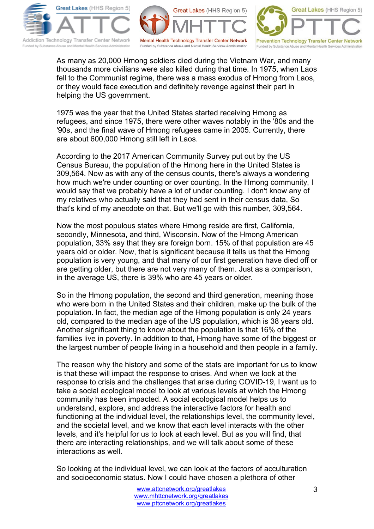





As many as 20,000 Hmong soldiers died during the Vietnam War, and many thousands more civilians were also killed during that time. In 1975, when Laos fell to the Communist regime, there was a mass exodus of Hmong from Laos, or they would face execution and definitely revenge against their part in helping the US government.

1975 was the year that the United States started receiving Hmong as refugees, and since 1975, there were other waves notably in the '80s and the '90s, and the final wave of Hmong refugees came in 2005. Currently, there are about 600,000 Hmong still left in Laos.

According to the 2017 American Community Survey put out by the US Census Bureau, the population of the Hmong here in the United States is 309,564. Now as with any of the census counts, there's always a wondering how much we're under counting or over counting. In the Hmong community, I would say that we probably have a lot of under counting. I don't know any of my relatives who actually said that they had sent in their census data, So that's kind of my anecdote on that. But we'll go with this number, 309,564.

Now the most populous states where Hmong reside are first, California, secondly, Minnesota, and third, Wisconsin. Now of the Hmong American population, 33% say that they are foreign born. 15% of that population are 45 years old or older. Now, that is significant because it tells us that the Hmong population is very young, and that many of our first generation have died off or are getting older, but there are not very many of them. Just as a comparison, in the average US, there is 39% who are 45 years or older.

So in the Hmong population, the second and third generation, meaning those who were born in the United States and their children, make up the bulk of the population. In fact, the median age of the Hmong population is only 24 years old, compared to the median age of the US population, which is 38 years old. Another significant thing to know about the population is that 16% of the families live in poverty. In addition to that, Hmong have some of the biggest or the largest number of people living in a household and then people in a family.

The reason why the history and some of the stats are important for us to know is that these will impact the response to crises. And when we look at the response to crisis and the challenges that arise during COVID-19, I want us to take a social ecological model to look at various levels at which the Hmong community has been impacted. A social ecological model helps us to understand, explore, and address the interactive factors for health and functioning at the individual level, the relationships level, the community level, and the societal level, and we know that each level interacts with the other levels, and it's helpful for us to look at each level. But as you will find, that there are interacting relationships, and we will talk about some of these interactions as well.

So looking at the individual level, we can look at the factors of acculturation and socioeconomic status. Now I could have chosen a plethora of other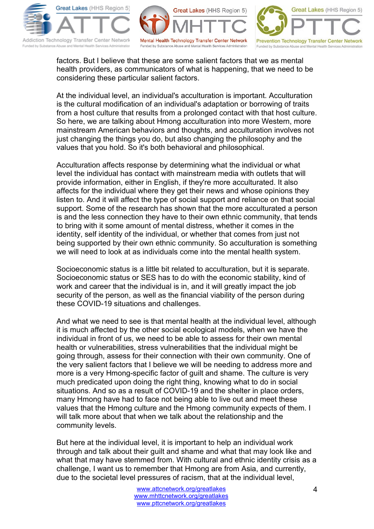





factors. But I believe that these are some salient factors that we as mental health providers, as communicators of what is happening, that we need to be considering these particular salient factors.

At the individual level, an individual's acculturation is important. Acculturation is the cultural modification of an individual's adaptation or borrowing of traits from a host culture that results from a prolonged contact with that host culture. So here, we are talking about Hmong acculturation into more Western, more mainstream American behaviors and thoughts, and acculturation involves not just changing the things you do, but also changing the philosophy and the values that you hold. So it's both behavioral and philosophical.

Acculturation affects response by determining what the individual or what level the individual has contact with mainstream media with outlets that will provide information, either in English, if they're more acculturated. It also affects for the individual where they get their news and whose opinions they listen to. And it will affect the type of social support and reliance on that social support. Some of the research has shown that the more acculturated a person is and the less connection they have to their own ethnic community, that tends to bring with it some amount of mental distress, whether it comes in the identity, self identity of the individual, or whether that comes from just not being supported by their own ethnic community. So acculturation is something we will need to look at as individuals come into the mental health system.

Socioeconomic status is a little bit related to acculturation, but it is separate. Socioeconomic status or SES has to do with the economic stability, kind of work and career that the individual is in, and it will greatly impact the job security of the person, as well as the financial viability of the person during these COVID-19 situations and challenges.

And what we need to see is that mental health at the individual level, although it is much affected by the other social ecological models, when we have the individual in front of us, we need to be able to assess for their own mental health or vulnerabilities, stress vulnerabilities that the individual might be going through, assess for their connection with their own community. One of the very salient factors that I believe we will be needing to address more and more is a very Hmong-specific factor of guilt and shame. The culture is very much predicated upon doing the right thing, knowing what to do in social situations. And so as a result of COVID-19 and the shelter in place orders, many Hmong have had to face not being able to live out and meet these values that the Hmong culture and the Hmong community expects of them. I will talk more about that when we talk about the relationship and the community levels.

But here at the individual level, it is important to help an individual work through and talk about their guilt and shame and what that may look like and what that may have stemmed from. With cultural and ethnic identity crisis as a challenge, I want us to remember that Hmong are from Asia, and currently, due to the societal level pressures of racism, that at the individual level,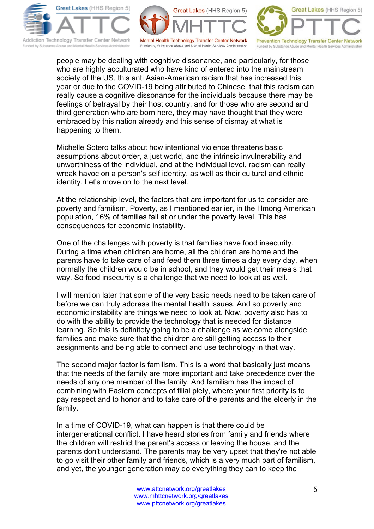





people may be dealing with cognitive dissonance, and particularly, for those who are highly acculturated who have kind of entered into the mainstream society of the US, this anti Asian-American racism that has increased this year or due to the COVID-19 being attributed to Chinese, that this racism can really cause a cognitive dissonance for the individuals because there may be feelings of betrayal by their host country, and for those who are second and third generation who are born here, they may have thought that they were embraced by this nation already and this sense of dismay at what is happening to them.

Michelle Sotero talks about how intentional violence threatens basic assumptions about order, a just world, and the intrinsic invulnerability and unworthiness of the individual, and at the individual level, racism can really wreak havoc on a person's self identity, as well as their cultural and ethnic identity. Let's move on to the next level.

At the relationship level, the factors that are important for us to consider are poverty and familism. Poverty, as I mentioned earlier, in the Hmong American population, 16% of families fall at or under the poverty level. This has consequences for economic instability.

One of the challenges with poverty is that families have food insecurity. During a time when children are home, all the children are home and the parents have to take care of and feed them three times a day every day, when normally the children would be in school, and they would get their meals that way. So food insecurity is a challenge that we need to look at as well.

I will mention later that some of the very basic needs need to be taken care of before we can truly address the mental health issues. And so poverty and economic instability are things we need to look at. Now, poverty also has to do with the ability to provide the technology that is needed for distance learning. So this is definitely going to be a challenge as we come alongside families and make sure that the children are still getting access to their assignments and being able to connect and use technology in that way.

The second major factor is familism. This is a word that basically just means that the needs of the family are more important and take precedence over the needs of any one member of the family. And familism has the impact of combining with Eastern concepts of filial piety, where your first priority is to pay respect and to honor and to take care of the parents and the elderly in the family.

In a time of COVID-19, what can happen is that there could be intergenerational conflict. I have heard stories from family and friends where the children will restrict the parent's access or leaving the house, and the parents don't understand. The parents may be very upset that they're not able to go visit their other family and friends, which is a very much part of familism, and yet, the younger generation may do everything they can to keep the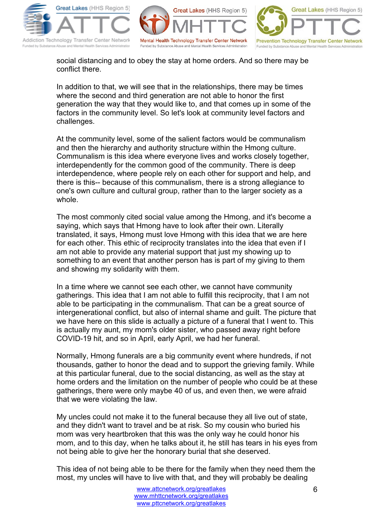





social distancing and to obey the stay at home orders. And so there may be conflict there.

In addition to that, we will see that in the relationships, there may be times where the second and third generation are not able to honor the first generation the way that they would like to, and that comes up in some of the factors in the community level. So let's look at community level factors and challenges.

At the community level, some of the salient factors would be communalism and then the hierarchy and authority structure within the Hmong culture. Communalism is this idea where everyone lives and works closely together, interdependently for the common good of the community. There is deep interdependence, where people rely on each other for support and help, and there is this-- because of this communalism, there is a strong allegiance to one's own culture and cultural group, rather than to the larger society as a whole.

The most commonly cited social value among the Hmong, and it's become a saying, which says that Hmong have to look after their own. Literally translated, it says, Hmong must love Hmong with this idea that we are here for each other. This ethic of reciprocity translates into the idea that even if I am not able to provide any material support that just my showing up to something to an event that another person has is part of my giving to them and showing my solidarity with them.

In a time where we cannot see each other, we cannot have community gatherings. This idea that I am not able to fulfill this reciprocity, that I am not able to be participating in the communalism. That can be a great source of intergenerational conflict, but also of internal shame and guilt. The picture that we have here on this slide is actually a picture of a funeral that I went to. This is actually my aunt, my mom's older sister, who passed away right before COVID-19 hit, and so in April, early April, we had her funeral.

Normally, Hmong funerals are a big community event where hundreds, if not thousands, gather to honor the dead and to support the grieving family. While at this particular funeral, due to the social distancing, as well as the stay at home orders and the limitation on the number of people who could be at these gatherings, there were only maybe 40 of us, and even then, we were afraid that we were violating the law.

My uncles could not make it to the funeral because they all live out of state, and they didn't want to travel and be at risk. So my cousin who buried his mom was very heartbroken that this was the only way he could honor his mom, and to this day, when he talks about it, he still has tears in his eyes from not being able to give her the honorary burial that she deserved.

This idea of not being able to be there for the family when they need them the most, my uncles will have to live with that, and they will probably be dealing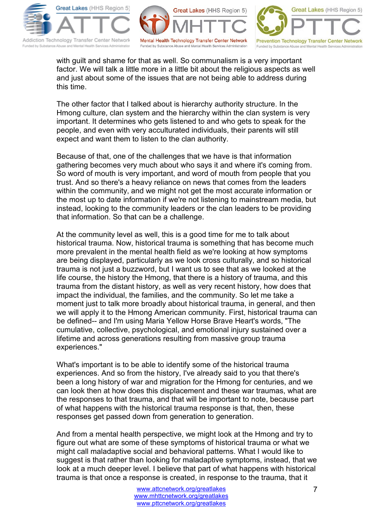





with guilt and shame for that as well. So communalism is a very important factor. We will talk a little more in a little bit about the religious aspects as well and just about some of the issues that are not being able to address during this time.

The other factor that I talked about is hierarchy authority structure. In the Hmong culture, clan system and the hierarchy within the clan system is very important. It determines who gets listened to and who gets to speak for the people, and even with very acculturated individuals, their parents will still expect and want them to listen to the clan authority.

Because of that, one of the challenges that we have is that information gathering becomes very much about who says it and where it's coming from. So word of mouth is very important, and word of mouth from people that you trust. And so there's a heavy reliance on news that comes from the leaders within the community, and we might not get the most accurate information or the most up to date information if we're not listening to mainstream media, but instead, looking to the community leaders or the clan leaders to be providing that information. So that can be a challenge.

At the community level as well, this is a good time for me to talk about historical trauma. Now, historical trauma is something that has become much more prevalent in the mental health field as we're looking at how symptoms are being displayed, particularly as we look cross culturally, and so historical trauma is not just a buzzword, but I want us to see that as we looked at the life course, the history the Hmong, that there is a history of trauma, and this trauma from the distant history, as well as very recent history, how does that impact the individual, the families, and the community. So let me take a moment just to talk more broadly about historical trauma, in general, and then we will apply it to the Hmong American community. First, historical trauma can be defined-- and I'm using Maria Yellow Horse Brave Heart's words, "The cumulative, collective, psychological, and emotional injury sustained over a lifetime and across generations resulting from massive group trauma experiences."

What's important is to be able to identify some of the historical trauma experiences. And so from the history, I've already said to you that there's been a long history of war and migration for the Hmong for centuries, and we can look then at how does this displacement and these war traumas, what are the responses to that trauma, and that will be important to note, because part of what happens with the historical trauma response is that, then, these responses get passed down from generation to generation.

And from a mental health perspective, we might look at the Hmong and try to figure out what are some of these symptoms of historical trauma or what we might call maladaptive social and behavioral patterns. What I would like to suggest is that rather than looking for maladaptive symptoms, instead, that we look at a much deeper level. I believe that part of what happens with historical trauma is that once a response is created, in response to the trauma, that it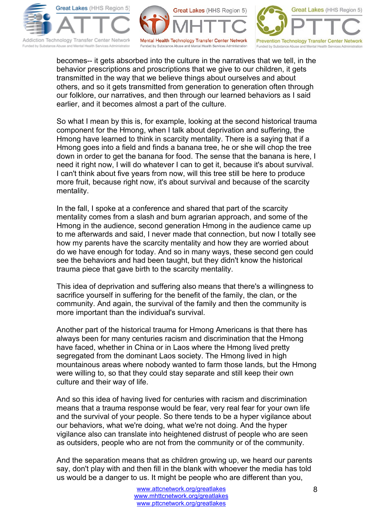





becomes-- it gets absorbed into the culture in the narratives that we tell, in the behavior prescriptions and proscriptions that we give to our children, it gets transmitted in the way that we believe things about ourselves and about others, and so it gets transmitted from generation to generation often through our folklore, our narratives, and then through our learned behaviors as I said earlier, and it becomes almost a part of the culture.

So what I mean by this is, for example, looking at the second historical trauma component for the Hmong, when I talk about deprivation and suffering, the Hmong have learned to think in scarcity mentality. There is a saying that if a Hmong goes into a field and finds a banana tree, he or she will chop the tree down in order to get the banana for food. The sense that the banana is here, I need it right now, I will do whatever I can to get it, because it's about survival. I can't think about five years from now, will this tree still be here to produce more fruit, because right now, it's about survival and because of the scarcity mentality.

In the fall, I spoke at a conference and shared that part of the scarcity mentality comes from a slash and burn agrarian approach, and some of the Hmong in the audience, second generation Hmong in the audience came up to me afterwards and said, I never made that connection, but now I totally see how my parents have the scarcity mentality and how they are worried about do we have enough for today. And so in many ways, these second gen could see the behaviors and had been taught, but they didn't know the historical trauma piece that gave birth to the scarcity mentality.

This idea of deprivation and suffering also means that there's a willingness to sacrifice yourself in suffering for the benefit of the family, the clan, or the community. And again, the survival of the family and then the community is more important than the individual's survival.

Another part of the historical trauma for Hmong Americans is that there has always been for many centuries racism and discrimination that the Hmong have faced, whether in China or in Laos where the Hmong lived pretty segregated from the dominant Laos society. The Hmong lived in high mountainous areas where nobody wanted to farm those lands, but the Hmong were willing to, so that they could stay separate and still keep their own culture and their way of life.

And so this idea of having lived for centuries with racism and discrimination means that a trauma response would be fear, very real fear for your own life and the survival of your people. So there tends to be a hyper vigilance about our behaviors, what we're doing, what we're not doing. And the hyper vigilance also can translate into heightened distrust of people who are seen as outsiders, people who are not from the community or of the community.

And the separation means that as children growing up, we heard our parents say, don't play with and then fill in the blank with whoever the media has told us would be a danger to us. It might be people who are different than you,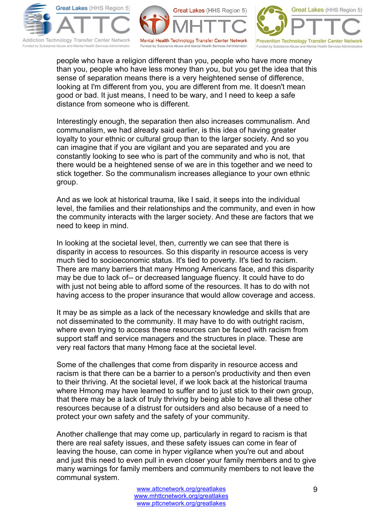





people who have a religion different than you, people who have more money than you, people who have less money than you, but you get the idea that this sense of separation means there is a very heightened sense of difference, looking at I'm different from you, you are different from me. It doesn't mean good or bad. It just means, I need to be wary, and I need to keep a safe distance from someone who is different.

Interestingly enough, the separation then also increases communalism. And communalism, we had already said earlier, is this idea of having greater loyalty to your ethnic or cultural group than to the larger society. And so you can imagine that if you are vigilant and you are separated and you are constantly looking to see who is part of the community and who is not, that there would be a heightened sense of we are in this together and we need to stick together. So the communalism increases allegiance to your own ethnic group.

And as we look at historical trauma, like I said, it seeps into the individual level, the families and their relationships and the community, and even in how the community interacts with the larger society. And these are factors that we need to keep in mind.

In looking at the societal level, then, currently we can see that there is disparity in access to resources. So this disparity in resource access is very much tied to socioeconomic status. It's tied to poverty. It's tied to racism. There are many barriers that many Hmong Americans face, and this disparity may be due to lack of-- or decreased language fluency. It could have to do with just not being able to afford some of the resources. It has to do with not having access to the proper insurance that would allow coverage and access.

It may be as simple as a lack of the necessary knowledge and skills that are not disseminated to the community. It may have to do with outright racism, where even trying to access these resources can be faced with racism from support staff and service managers and the structures in place. These are very real factors that many Hmong face at the societal level.

Some of the challenges that come from disparity in resource access and racism is that there can be a barrier to a person's productivity and then even to their thriving. At the societal level, if we look back at the historical trauma where Hmong may have learned to suffer and to just stick to their own group, that there may be a lack of truly thriving by being able to have all these other resources because of a distrust for outsiders and also because of a need to protect your own safety and the safety of your community.

Another challenge that may come up, particularly in regard to racism is that there are real safety issues, and these safety issues can come in fear of leaving the house, can come in hyper vigilance when you're out and about and just this need to even pull in even closer your family members and to give many warnings for family members and community members to not leave the communal system.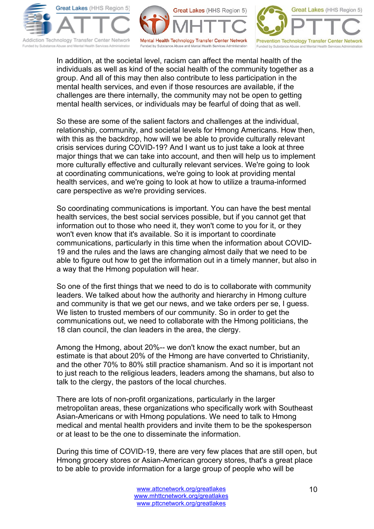





In addition, at the societal level, racism can affect the mental health of the individuals as well as kind of the social health of the community together as a group. And all of this may then also contribute to less participation in the mental health services, and even if those resources are available, if the challenges are there internally, the community may not be open to getting mental health services, or individuals may be fearful of doing that as well.

So these are some of the salient factors and challenges at the individual, relationship, community, and societal levels for Hmong Americans. How then, with this as the backdrop, how will we be able to provide culturally relevant crisis services during COVID-19? And I want us to just take a look at three major things that we can take into account, and then will help us to implement more culturally effective and culturally relevant services. We're going to look at coordinating communications, we're going to look at providing mental health services, and we're going to look at how to utilize a trauma-informed care perspective as we're providing services.

So coordinating communications is important. You can have the best mental health services, the best social services possible, but if you cannot get that information out to those who need it, they won't come to you for it, or they won't even know that it's available. So it is important to coordinate communications, particularly in this time when the information about COVID-19 and the rules and the laws are changing almost daily that we need to be able to figure out how to get the information out in a timely manner, but also in a way that the Hmong population will hear.

So one of the first things that we need to do is to collaborate with community leaders. We talked about how the authority and hierarchy in Hmong culture and community is that we get our news, and we take orders per se, I guess. We listen to trusted members of our community. So in order to get the communications out, we need to collaborate with the Hmong politicians, the 18 clan council, the clan leaders in the area, the clergy.

Among the Hmong, about 20%-- we don't know the exact number, but an estimate is that about 20% of the Hmong are have converted to Christianity, and the other 70% to 80% still practice shamanism. And so it is important not to just reach to the religious leaders, leaders among the shamans, but also to talk to the clergy, the pastors of the local churches.

There are lots of non-profit organizations, particularly in the larger metropolitan areas, these organizations who specifically work with Southeast Asian-Americans or with Hmong populations. We need to talk to Hmong medical and mental health providers and invite them to be the spokesperson or at least to be the one to disseminate the information.

During this time of COVID-19, there are very few places that are still open, but Hmong grocery stores or Asian-American grocery stores, that's a great place to be able to provide information for a large group of people who will be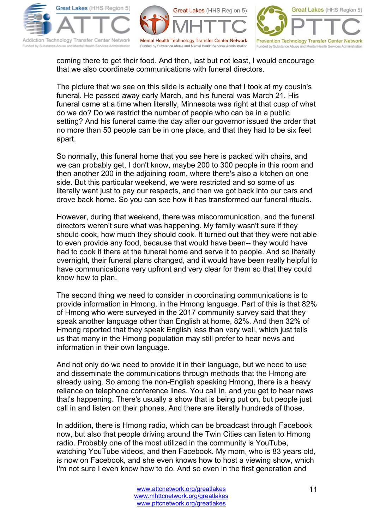





coming there to get their food. And then, last but not least, I would encourage that we also coordinate communications with funeral directors.

The picture that we see on this slide is actually one that I took at my cousin's funeral. He passed away early March, and his funeral was March 21. His funeral came at a time when literally, Minnesota was right at that cusp of what do we do? Do we restrict the number of people who can be in a public setting? And his funeral came the day after our governor issued the order that no more than 50 people can be in one place, and that they had to be six feet apart.

So normally, this funeral home that you see here is packed with chairs, and we can probably get, I don't know, maybe 200 to 300 people in this room and then another 200 in the adjoining room, where there's also a kitchen on one side. But this particular weekend, we were restricted and so some of us literally went just to pay our respects, and then we got back into our cars and drove back home. So you can see how it has transformed our funeral rituals.

However, during that weekend, there was miscommunication, and the funeral directors weren't sure what was happening. My family wasn't sure if they should cook, how much they should cook. It turned out that they were not able to even provide any food, because that would have been-- they would have had to cook it there at the funeral home and serve it to people. And so literally overnight, their funeral plans changed, and it would have been really helpful to have communications very upfront and very clear for them so that they could know how to plan.

The second thing we need to consider in coordinating communications is to provide information in Hmong, in the Hmong language. Part of this is that 82% of Hmong who were surveyed in the 2017 community survey said that they speak another language other than English at home, 82%. And then 32% of Hmong reported that they speak English less than very well, which just tells us that many in the Hmong population may still prefer to hear news and information in their own language.

And not only do we need to provide it in their language, but we need to use and disseminate the communications through methods that the Hmong are already using. So among the non-English speaking Hmong, there is a heavy reliance on telephone conference lines. You call in, and you get to hear news that's happening. There's usually a show that is being put on, but people just call in and listen on their phones. And there are literally hundreds of those.

In addition, there is Hmong radio, which can be broadcast through Facebook now, but also that people driving around the Twin Cities can listen to Hmong radio. Probably one of the most utilized in the community is YouTube, watching YouTube videos, and then Facebook. My mom, who is 83 years old, is now on Facebook, and she even knows how to host a viewing show, which I'm not sure I even know how to do. And so even in the first generation and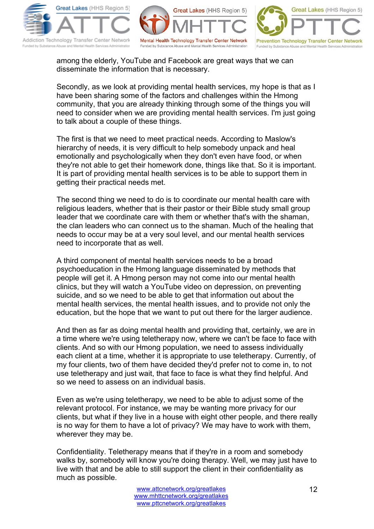





among the elderly, YouTube and Facebook are great ways that we can disseminate the information that is necessary.

Secondly, as we look at providing mental health services, my hope is that as I have been sharing some of the factors and challenges within the Hmong community, that you are already thinking through some of the things you will need to consider when we are providing mental health services. I'm just going to talk about a couple of these things.

The first is that we need to meet practical needs. According to Maslow's hierarchy of needs, it is very difficult to help somebody unpack and heal emotionally and psychologically when they don't even have food, or when they're not able to get their homework done, things like that. So it is important. It is part of providing mental health services is to be able to support them in getting their practical needs met.

The second thing we need to do is to coordinate our mental health care with religious leaders, whether that is their pastor or their Bible study small group leader that we coordinate care with them or whether that's with the shaman, the clan leaders who can connect us to the shaman. Much of the healing that needs to occur may be at a very soul level, and our mental health services need to incorporate that as well.

A third component of mental health services needs to be a broad psychoeducation in the Hmong language disseminated by methods that people will get it. A Hmong person may not come into our mental health clinics, but they will watch a YouTube video on depression, on preventing suicide, and so we need to be able to get that information out about the mental health services, the mental health issues, and to provide not only the education, but the hope that we want to put out there for the larger audience.

And then as far as doing mental health and providing that, certainly, we are in a time where we're using teletherapy now, where we can't be face to face with clients. And so with our Hmong population, we need to assess individually each client at a time, whether it is appropriate to use teletherapy. Currently, of my four clients, two of them have decided they'd prefer not to come in, to not use teletherapy and just wait, that face to face is what they find helpful. And so we need to assess on an individual basis.

Even as we're using teletherapy, we need to be able to adjust some of the relevant protocol. For instance, we may be wanting more privacy for our clients, but what if they live in a house with eight other people, and there really is no way for them to have a lot of privacy? We may have to work with them, wherever they may be.

Confidentiality. Teletherapy means that if they're in a room and somebody walks by, somebody will know you're doing therapy. Well, we may just have to live with that and be able to still support the client in their confidentiality as much as possible.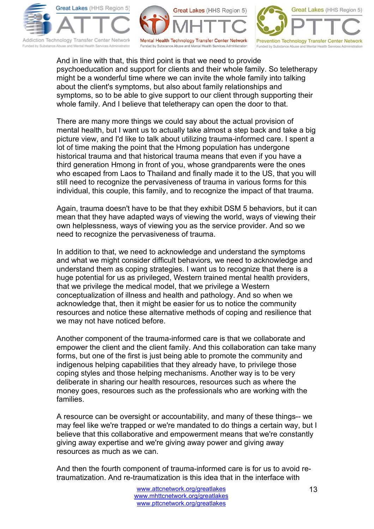





And in line with that, this third point is that we need to provide psychoeducation and support for clients and their whole family. So teletherapy might be a wonderful time where we can invite the whole family into talking about the client's symptoms, but also about family relationships and symptoms, so to be able to give support to our client through supporting their whole family. And I believe that teletherapy can open the door to that.

There are many more things we could say about the actual provision of mental health, but I want us to actually take almost a step back and take a big picture view, and I'd like to talk about utilizing trauma-informed care. I spent a lot of time making the point that the Hmong population has undergone historical trauma and that historical trauma means that even if you have a third generation Hmong in front of you, whose grandparents were the ones who escaped from Laos to Thailand and finally made it to the US, that you will still need to recognize the pervasiveness of trauma in various forms for this individual, this couple, this family, and to recognize the impact of that trauma.

Again, trauma doesn't have to be that they exhibit DSM 5 behaviors, but it can mean that they have adapted ways of viewing the world, ways of viewing their own helplessness, ways of viewing you as the service provider. And so we need to recognize the pervasiveness of trauma.

In addition to that, we need to acknowledge and understand the symptoms and what we might consider difficult behaviors, we need to acknowledge and understand them as coping strategies. I want us to recognize that there is a huge potential for us as privileged, Western trained mental health providers, that we privilege the medical model, that we privilege a Western conceptualization of illness and health and pathology. And so when we acknowledge that, then it might be easier for us to notice the community resources and notice these alternative methods of coping and resilience that we may not have noticed before.

Another component of the trauma-informed care is that we collaborate and empower the client and the client family. And this collaboration can take many forms, but one of the first is just being able to promote the community and indigenous helping capabilities that they already have, to privilege those coping styles and those helping mechanisms. Another way is to be very deliberate in sharing our health resources, resources such as where the money goes, resources such as the professionals who are working with the families.

A resource can be oversight or accountability, and many of these things-- we may feel like we're trapped or we're mandated to do things a certain way, but I believe that this collaborative and empowerment means that we're constantly giving away expertise and we're giving away power and giving away resources as much as we can.

And then the fourth component of trauma-informed care is for us to avoid retraumatization. And re-traumatization is this idea that in the interface with